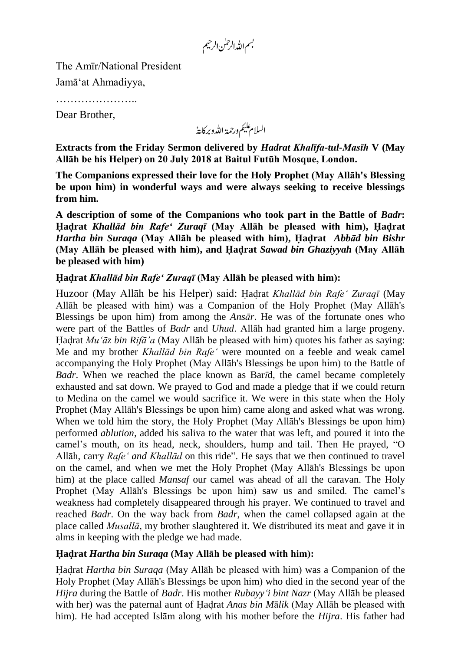بسم الله الرحمٰن الرحيم

The Amīr/National President

Jamā'at Ahmadiyya,

……………………

Dear Brother,

السلام عليم ورحمة الله وبركايةُ

**Extracts from the Friday Sermon delivered by** *Hadrat Khalīfa-tul-Masīh* **V (May Allāh be his Helper) on 02 July 2018 at Baitul Futūh Mosque, London.**

**The Companions expressed their love for the Holy Prophet (May Allāh's Blessing be upon him) in wonderful ways and were always seeking to receive blessings from him.**

**A description of some of the Companions who took part in the Battle of** *Badr***: Hadrat** *Khallād bin Rafe' Zuraqī* **(May Allāh be pleased with him), Hadrat** *Hartha bin Suraqa* **(May Allāh be pleased with him), Hadrat** *Abbād bin Bishr* **(May Allāh be pleased with him), and Hadrat** *Sawad bin Ghaziyyah* **(May Allāh be pleased with him)**

## **Hadrat** *Khallād bin Rafe' Zuraqī* **(May Allāh be pleased with him):**

Huzoor (May Allāh be his Helper) said: Hadrat *Khallād bin Rafe' Zuraqī* (May Allāh be pleased with him) was a Companion of the Holy Prophet (May Allāh's Blessings be upon him) from among the *Ansār*. He was of the fortunate ones who were part of the Battles of *Badr* and *Uhud*. Allāh had granted him a large progeny. Hadrat *Mu'āz bin Rifā'a* (May Allāh be pleased with him) quotes his father as saying: Me and my brother *Khallād bin Rafe'* were mounted on a feeble and weak camel accompanying the Holy Prophet (May Allāh's Blessings be upon him) to the Battle of *Badr*. When we reached the place known as Bar*ī*d, the camel became completely exhausted and sat down. We prayed to God and made a pledge that if we could return to Medina on the camel we would sacrifice it. We were in this state when the Holy Prophet (May Allāh's Blessings be upon him) came along and asked what was wrong. When we told him the story, the Holy Prophet (May Allāh's Blessings be upon him) performed *ablution,* added his saliva to the water that was left, and poured it into the camel's mouth, on its head, neck, shoulders, hump and tail. Then He prayed, "O Allāh, carry *Rafe' and Khallād* on this ride". He says that we then continued to travel on the camel, and when we met the Holy Prophet (May Allāh's Blessings be upon him) at the place called *Mansaf* our camel was ahead of all the caravan. The Holy Prophet (May Allāh's Blessings be upon him) saw us and smiled. The camel's weakness had completely disappeared through his prayer. We continued to travel and reached *Badr*. On the way back from *Badr*, when the camel collapsed again at the place called *Musallā*, my brother slaughtered it. We distributed its meat and gave it in alms in keeping with the pledge we had made.

## **Hadrat** *Hartha bin Suraqa* **(May Allāh be pleased with him):**

Hadrat *Hartha bin Suraqa* (May Allāh be pleased with him) was a Companion of the Holy Prophet (May Allāh's Blessings be upon him) who died in the second year of the *Hijra* during the Battle of *Badr*. His mother *Rubayy'i bint Nazr* (May Allāh be pleased with her) was the paternal aunt of Hadrat *Anas bin M*ā*lik* (May Allāh be pleased with him). He had accepted Islām along with his mother before the *Hijra*. His father had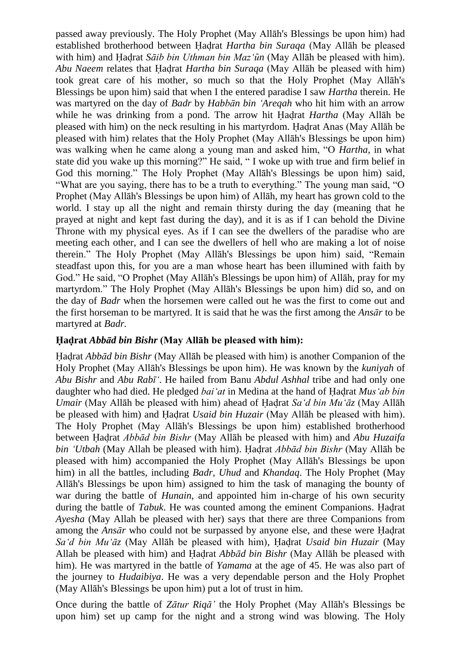passed away previously. The Holy Prophet (May Allāh's Blessings be upon him) had established brotherhood between Hadrat *Hartha bin Suraqa* (May Allāh be pleased with him) and Hadrat *Sāib bin Uthman bin Maz'un* (May Allāh be pleased with him). *Abu Naeem* relates that Hadrat *Hartha bin Suraqa* (May Allāh be pleased with him) took great care of his mother, so much so that the Holy Prophet (May Allāh's Blessings be upon him) said that when I the entered paradise I saw *Hartha* therein. He was martyred on the day of *Badr* by *Habbān bin 'Areqah* who hit him with an arrow while he was drinking from a pond. The arrow hit Hadrat *Hartha* (May Allāh be pleased with him) on the neck resulting in his martyrdom. Hadrat Anas (May Allāh be pleased with him) relates that the Holy Prophet (May Allāh's Blessings be upon him) was walking when he came along a young man and asked him, "O *Hartha*, in what state did you wake up this morning?" He said, " I woke up with true and firm belief in God this morning." The Holy Prophet (May Allāh's Blessings be upon him) said, "What are you saying, there has to be a truth to everything." The young man said, "O Prophet (May Allāh's Blessings be upon him) of Allāh, my heart has grown cold to the world. I stay up all the night and remain thirsty during the day (meaning that he prayed at night and kept fast during the day), and it is as if I can behold the Divine Throne with my physical eyes. As if I can see the dwellers of the paradise who are meeting each other, and I can see the dwellers of hell who are making a lot of noise therein." The Holy Prophet (May Allāh's Blessings be upon him) said, "Remain steadfast upon this, for you are a man whose heart has been illumined with faith by God." He said, "O Prophet (May Allāh's Blessings be upon him) of Allāh, pray for my martyrdom." The Holy Prophet (May Allāh's Blessings be upon him) did so, and on the day of *Badr* when the horsemen were called out he was the first to come out and the first horseman to be martyred. It is said that he was the first among the *Ansār* to be martyred at *Badr.*

## **Hadrat** *Abbād bin Bishr* **(May Allāh be pleased with him):**

Hadrat *Abbād bin Bishr* (May Allāh be pleased with him) is another Companion of the Holy Prophet (May Allāh's Blessings be upon him). He was known by the *kuniyah* of *Abu Bishr* and *Abu Rabī'*. He hailed from Banu *Abdul Ashhal* tribe and had only one daughter who had died. He pledged *bai'at* in Medina at the hand of Hadrat *Mus'ab bin Umair* (May Allāh be pleased with him) ahead of Hadrat *Sa'd bin Mu'āz* (May Allāh be pleased with him) and Hadrat *Usaid bin Huzair* (May Allāh be pleased with him). The Holy Prophet (May Allāh's Blessings be upon him) established brotherhood between Hadrat *Abbād bin Bishr* (May Allāh be pleased with him) and *Abu Huzaifa bin 'Utbah* (May Allah be pleased with him). Hadrat *Abbād bin Bishr* (May Allāh be pleased with him) accompanied the Holy Prophet (May Allāh's Blessings be upon him) in all the battles, including *Badr, Uhud* and *Khandaq*. The Holy Prophet (May Allāh's Blessings be upon him) assigned to him the task of managing the bounty of war during the battle of *Hunain*, and appointed him in-charge of his own security during the battle of *Tabuk*. He was counted among the eminent Companions. Hadrat *Ayesha* (May Allah be pleased with her) says that there are three Companions from among the *Ansār* who could not be surpassed by anyone else, and these were Hadrat *Sa'd bin Mu'āz* (May Allāh be pleased with him), Hadrat *Usaid bin Huzair* (May Allah be pleased with him) and Hadrat *Abbād bin Bishr* (May Allāh be pleased with him). He was martyred in the battle of *Yamama* at the age of 45. He was also part of the journey to *Hudaibiya*. He was a very dependable person and the Holy Prophet (May Allāh's Blessings be upon him) put a lot of trust in him.

Once during the battle of *Zātur Riqā'* the Holy Prophet (May Allāh's Blessings be upon him) set up camp for the night and a strong wind was blowing. The Holy